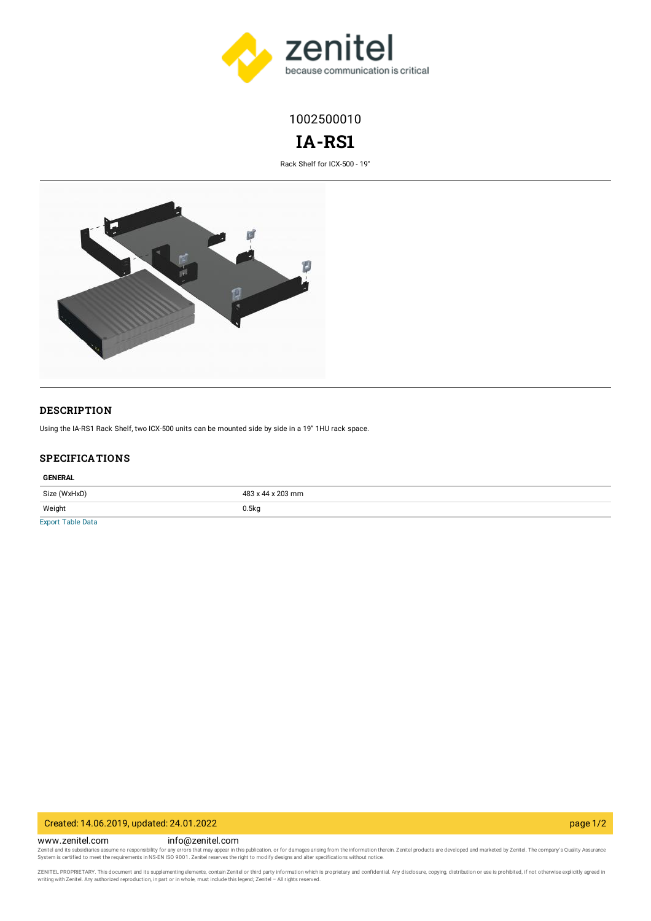

1002500010

# **IA-RS1**

Rack Shelf for ICX-500 - 19"



#### **DESCRIPTION**

Using the IA-RS1 Rack Shelf, two ICX-500 units can be mounted side by side in a 19" 1HU rack space.

#### **SPECIFICATIONS**

#### **GENERAL**

| Size (WxHxD)                   | 483 x 44 x 203 mm |
|--------------------------------|-------------------|
| Weight                         | 0.5kq             |
| <b>Product Service Control</b> |                   |

[Export](https://www.zenitel.com/tablefield/export/node/3921/field_specification_tables_table/en/0) Table Data

### Created: 14.06.2019, updated: 24.01.2022 page 1/2

www.zenitel.com info@zenitel.com

Zenitel and its subsidiaries assume no responsibility for any errors that may appear in this publication, or for damages arising from the information therein. Zenitel products are developed and marketed by Zenitel. The com

ZENITEL PROPRIETARY. This document and its supplementing elements, contain Zenitel or third party information which is proprietary and confidential. Any disclosure, copying, distribution or use is prohibited, if not otherw